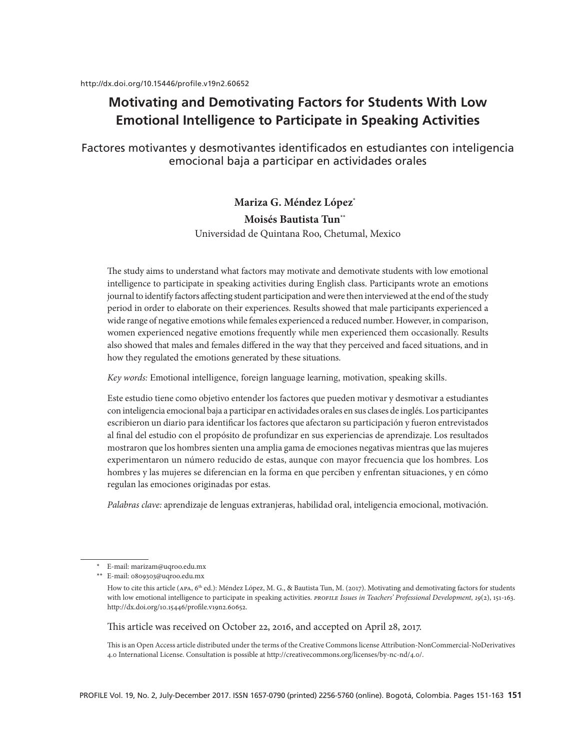# **Motivating and Demotivating Factors for Students With Low Emotional Intelligence to Participate in Speaking Activities**

Factores motivantes y desmotivantes identificados en estudiantes con inteligencia emocional baja a participar en actividades orales

## **Mariza G. Méndez López\* Moisés Bautista Tun\*\*** Universidad de Quintana Roo, Chetumal, Mexico

The study aims to understand what factors may motivate and demotivate students with low emotional intelligence to participate in speaking activities during English class. Participants wrote an emotions journal to identify factors affecting student participation and were then interviewed at the end of the study period in order to elaborate on their experiences. Results showed that male participants experienced a wide range of negative emotions while females experienced a reduced number. However, in comparison, women experienced negative emotions frequently while men experienced them occasionally. Results also showed that males and females differed in the way that they perceived and faced situations, and in how they regulated the emotions generated by these situations.

*Key words:* Emotional intelligence, foreign language learning, motivation, speaking skills.

Este estudio tiene como objetivo entender los factores que pueden motivar y desmotivar a estudiantes con inteligencia emocional baja a participar en actividades orales en sus clases de inglés. Los participantes escribieron un diario para identificar los factores que afectaron su participación y fueron entrevistados al final del estudio con el propósito de profundizar en sus experiencias de aprendizaje. Los resultados mostraron que los hombres sienten una amplia gama de emociones negativas mientras que las mujeres experimentaron un número reducido de estas, aunque con mayor frecuencia que los hombres. Los hombres y las mujeres se diferencian en la forma en que perciben y enfrentan situaciones, y en cómo regulan las emociones originadas por estas.

*Palabras clave:* aprendizaje de lenguas extranjeras, habilidad oral, inteligencia emocional, motivación.

This article was received on October 22, 2016, and accepted on April 28, 2017.

This is an Open Access article distributed under the terms of the Creative Commons license Attribution-NonCommercial-NoDerivatives 4.0 International License. Consultation is possible at http://creativecommons.org/licenses/by-nc-nd/4.0/.

<sup>\*</sup> E-mail: marizam@uqroo.edu.mx

<sup>\*\*</sup> E-mail: 0809303@uqroo.edu.mx

How to cite this article (APA, 6<sup>th</sup> ed.): Méndez López, M. G., & Bautista Tun, M. (2017). Motivating and demotivating factors for students with low emotional intelligence to participate in speaking activities. *PROFILE Issues in Teachers' Professional Development*, 19(2), 151-163. http://dx.doi.org/10.15446/profile.v19n2.60652.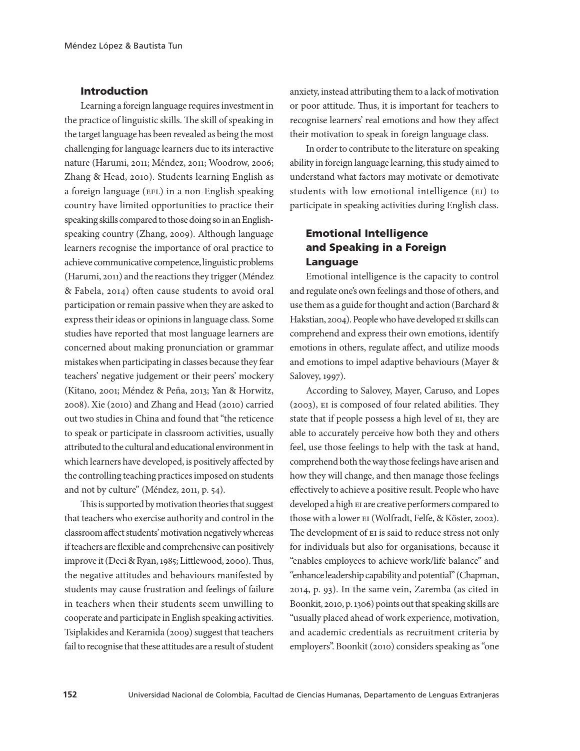### Introduction

Learning a foreign language requires investment in the practice of linguistic skills. The skill of speaking in the target language has been revealed as being the most challenging for language learners due to its interactive nature (Harumi, 2011; Méndez, 2011; Woodrow, 2006; Zhang & Head, 2010). Students learning English as a foreign language (EFL) in a non-English speaking country have limited opportunities to practice their speaking skills compared to those doing so in an Englishspeaking country (Zhang, 2009). Although language learners recognise the importance of oral practice to achieve communicative competence, linguistic problems (Harumi, 2011) and the reactions they trigger (Méndez & Fabela, 2014) often cause students to avoid oral participation or remain passive when they are asked to express their ideas or opinions in language class. Some studies have reported that most language learners are concerned about making pronunciation or grammar mistakes when participating in classes because they fear teachers' negative judgement or their peers' mockery (Kitano, 2001; Méndez & Peña, 2013; Yan & Horwitz, 2008). Xie (2010) and Zhang and Head (2010) carried out two studies in China and found that "the reticence to speak or participate in classroom activities, usually attributed to the cultural and educational environment in which learners have developed, is positively affected by the controlling teaching practices imposed on students and not by culture" (Méndez, 2011, p. 54).

This is supported by motivation theories that suggest that teachers who exercise authority and control in the classroom affect students' motivation negatively whereas if teachers are flexible and comprehensive can positively improve it (Deci & Ryan, 1985; Littlewood, 2000). Thus, the negative attitudes and behaviours manifested by students may cause frustration and feelings of failure in teachers when their students seem unwilling to cooperate and participate in English speaking activities. Tsiplakides and Keramida (2009) suggest that teachers fail to recognise that these attitudes are a result of student

anxiety, instead attributing them to a lack of motivation or poor attitude. Thus, it is important for teachers to recognise learners' real emotions and how they affect their motivation to speak in foreign language class.

In order to contribute to the literature on speaking ability in foreign language learning, this study aimed to understand what factors may motivate or demotivate students with low emotional intelligence (ei) to participate in speaking activities during English class.

## Emotional Intelligence and Speaking in a Foreign Language

Emotional intelligence is the capacity to control and regulate one's own feelings and those of others, and use them as a guide for thought and action (Barchard & Hakstian, 2004). People who have developed EI skills can comprehend and express their own emotions, identify emotions in others, regulate affect, and utilize moods and emotions to impel adaptive behaviours (Mayer & Salovey, 1997).

According to Salovey, Mayer, Caruso, and Lopes (2003), ei is composed of four related abilities. They state that if people possess a high level of ei, they are able to accurately perceive how both they and others feel, use those feelings to help with the task at hand, comprehend both the way those feelings have arisen and how they will change, and then manage those feelings effectively to achieve a positive result. People who have developed a high EI are creative performers compared to those with a lower ei (Wolfradt, Felfe, & Köster, 2002). The development of EI is said to reduce stress not only for individuals but also for organisations, because it "enables employees to achieve work/life balance" and "enhance leadership capability and potential" (Chapman, 2014, p. 93). In the same vein, Zaremba (as cited in Boonkit, 2010, p. 1306) points out that speaking skills are "usually placed ahead of work experience, motivation, and academic credentials as recruitment criteria by employers". Boonkit (2010) considers speaking as "one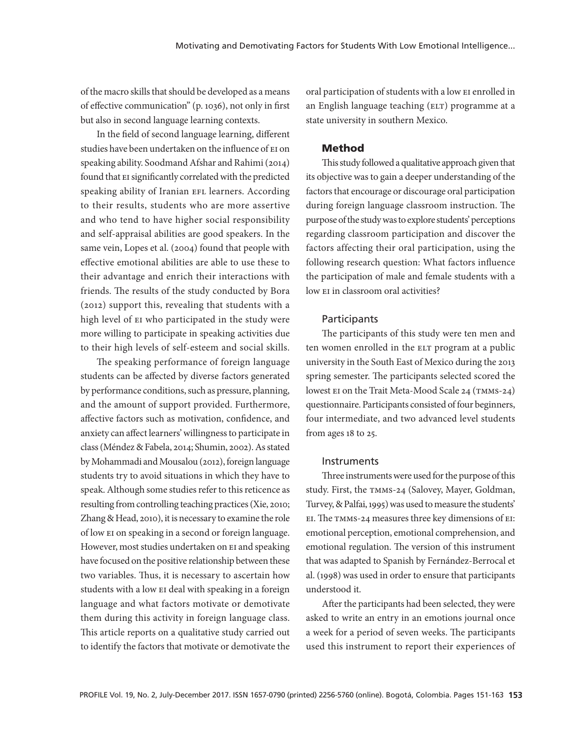of the macro skills that should be developed as a means of effective communication" (p. 1036), not only in first but also in second language learning contexts.

In the field of second language learning, different studies have been undertaken on the influence of ei on speaking ability. Soodmand Afshar and Rahimi (2014) found that EI significantly correlated with the predicted speaking ability of Iranian EFL learners. According to their results, students who are more assertive and who tend to have higher social responsibility and self-appraisal abilities are good speakers. In the same vein, Lopes et al. (2004) found that people with effective emotional abilities are able to use these to their advantage and enrich their interactions with friends. The results of the study conducted by Bora (2012) support this, revealing that students with a high level of EI who participated in the study were more willing to participate in speaking activities due to their high levels of self-esteem and social skills.

The speaking performance of foreign language students can be affected by diverse factors generated by performance conditions, such as pressure, planning, and the amount of support provided. Furthermore, affective factors such as motivation, confidence, and anxiety can affect learners' willingness to participate in class (Méndez & Fabela, 2014; Shumin, 2002). As stated by Mohammadi and Mousalou (2012), foreign language students try to avoid situations in which they have to speak. Although some studies refer to this reticence as resulting from controlling teaching practices (Xie, 2010; Zhang & Head, 2010), it is necessary to examine the role of low ei on speaking in a second or foreign language. However, most studies undertaken on EI and speaking have focused on the positive relationship between these two variables. Thus, it is necessary to ascertain how students with a low EI deal with speaking in a foreign language and what factors motivate or demotivate them during this activity in foreign language class. This article reports on a qualitative study carried out to identify the factors that motivate or demotivate the

oral participation of students with a low EI enrolled in an English language teaching (ELT) programme at a state university in southern Mexico.

### Method

This study followed a qualitative approach given that its objective was to gain a deeper understanding of the factors that encourage or discourage oral participation during foreign language classroom instruction. The purpose of the study was to explore students' perceptions regarding classroom participation and discover the factors affecting their oral participation, using the following research question: What factors influence the participation of male and female students with a low EI in classroom oral activities?

#### **Participants**

The participants of this study were ten men and ten women enrolled in the ELT program at a public university in the South East of Mexico during the 2013 spring semester. The participants selected scored the lowest EI on the Trait Meta-Mood Scale 24 (TMMS-24) questionnaire. Participants consisted of four beginners, four intermediate, and two advanced level students from ages 18 to 25.

#### **Instruments**

Three instruments were used for the purpose of this study. First, the TMMS-24 (Salovey, Mayer, Goldman, Turvey, & Palfai, 1995) was used to measure the students' ei. The tmms-24 measures three key dimensions of ei: emotional perception, emotional comprehension, and emotional regulation. The version of this instrument that was adapted to Spanish by Fernández-Berrocal et al. (1998) was used in order to ensure that participants understood it.

After the participants had been selected, they were asked to write an entry in an emotions journal once a week for a period of seven weeks. The participants used this instrument to report their experiences of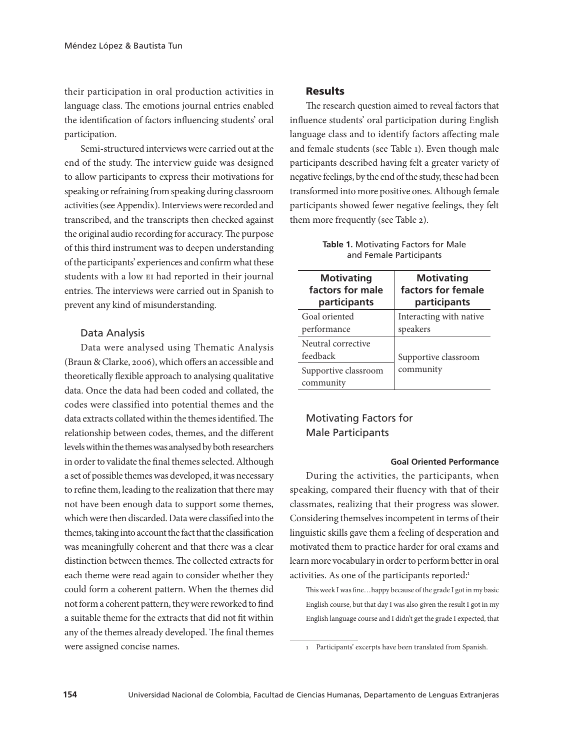their participation in oral production activities in language class. The emotions journal entries enabled the identification of factors influencing students' oral participation.

Semi-structured interviews were carried out at the end of the study. The interview guide was designed to allow participants to express their motivations for speaking or refraining from speaking during classroom activities (see Appendix). Interviews were recorded and transcribed, and the transcripts then checked against the original audio recording for accuracy. The purpose of this third instrument was to deepen understanding of the participants' experiences and confirm what these students with a low EI had reported in their journal entries. The interviews were carried out in Spanish to prevent any kind of misunderstanding.

### Data Analysis

Data were analysed using Thematic Analysis (Braun & Clarke, 2006), which offers an accessible and theoretically flexible approach to analysing qualitative data. Once the data had been coded and collated, the codes were classified into potential themes and the data extracts collated within the themes identified. The relationship between codes, themes, and the different levels within the themes was analysed by both researchers in order to validate the final themes selected. Although a set of possible themes was developed, it was necessary to refine them, leading to the realization that there may not have been enough data to support some themes, which were then discarded. Data were classified into the themes, taking into account the fact that the classification was meaningfully coherent and that there was a clear distinction between themes. The collected extracts for each theme were read again to consider whether they could form a coherent pattern. When the themes did not form a coherent pattern, they were reworked to find a suitable theme for the extracts that did not fit within any of the themes already developed. The final themes were assigned concise names.

### Results

The research question aimed to reveal factors that influence students' oral participation during English language class and to identify factors affecting male and female students (see Table 1). Even though male participants described having felt a greater variety of negative feelings, by the end of the study, these had been transformed into more positive ones. Although female participants showed fewer negative feelings, they felt them more frequently (see Table 2).

| <b>Motivating</b>                 | <b>Motivating</b>       |
|-----------------------------------|-------------------------|
| factors for male                  | factors for female      |
| participants                      | participants            |
| Goal oriented                     | Interacting with native |
| performance                       | speakers                |
| Neutral corrective<br>feedback    | Supportive classroom    |
| Supportive classroom<br>community | community               |

**Table 1.** Motivating Factors for Male and Female Participants

### Motivating Factors for Male Participants

#### **Goal Oriented Performance**

During the activities, the participants, when speaking, compared their fluency with that of their classmates, realizing that their progress was slower. Considering themselves incompetent in terms of their linguistic skills gave them a feeling of desperation and motivated them to practice harder for oral exams and learn more vocabulary in order to perform better in oral activities. As one of the participants reported:<sup>1</sup>

This week I was fine…happy because of the grade I got in my basic English course, but that day I was also given the result I got in my English language course and I didn't get the grade I expected, that

<sup>1</sup> Participants' excerpts have been translated from Spanish.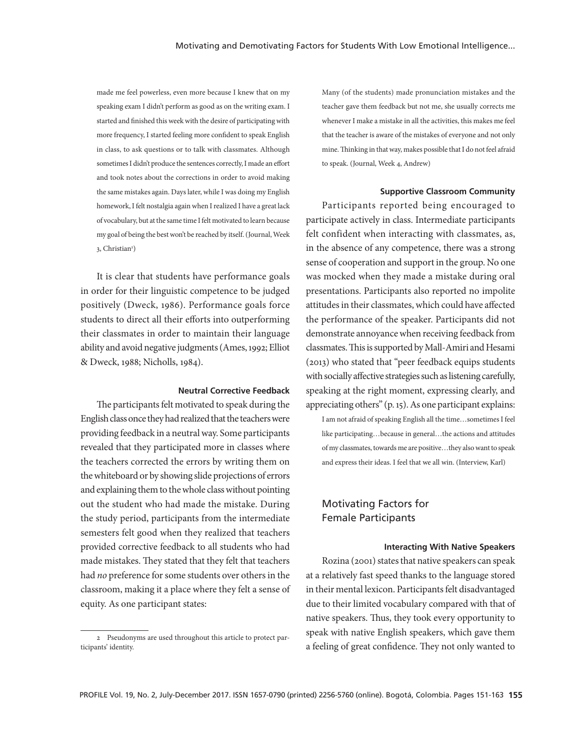made me feel powerless, even more because I knew that on my speaking exam I didn't perform as good as on the writing exam. I started and finished this week with the desire of participating with more frequency, I started feeling more confident to speak English in class, to ask questions or to talk with classmates. Although sometimes I didn't produce the sentences correctly, I made an effort and took notes about the corrections in order to avoid making the same mistakes again. Days later, while I was doing my English homework, I felt nostalgia again when I realized I have a great lack of vocabulary, but at the same time I felt motivated to learn because my goal of being the best won't be reached by itself. (Journal, Week 3, Christian<sup>2</sup>)

It is clear that students have performance goals in order for their linguistic competence to be judged positively (Dweck, 1986). Performance goals force students to direct all their efforts into outperforming their classmates in order to maintain their language ability and avoid negative judgments (Ames, 1992; Elliot & Dweck, 1988; Nicholls, 1984).

#### **Neutral Corrective Feedback**

The participants felt motivated to speak during the English class once they had realized that the teachers were providing feedback in a neutral way. Some participants revealed that they participated more in classes where the teachers corrected the errors by writing them on the whiteboard or by showing slide projections of errors and explaining them to the whole class without pointing out the student who had made the mistake. During the study period, participants from the intermediate semesters felt good when they realized that teachers provided corrective feedback to all students who had made mistakes. They stated that they felt that teachers had *no* preference for some students over others in the classroom, making it a place where they felt a sense of equity. As one participant states:

Many (of the students) made pronunciation mistakes and the teacher gave them feedback but not me, she usually corrects me whenever I make a mistake in all the activities, this makes me feel that the teacher is aware of the mistakes of everyone and not only mine. Thinking in that way, makes possible that I do not feel afraid to speak. (Journal, Week 4, Andrew)

#### **Supportive Classroom Community**

Participants reported being encouraged to participate actively in class. Intermediate participants felt confident when interacting with classmates, as, in the absence of any competence, there was a strong sense of cooperation and support in the group. No one was mocked when they made a mistake during oral presentations. Participants also reported no impolite attitudes in their classmates, which could have affected the performance of the speaker. Participants did not demonstrate annoyance when receiving feedback from classmates. This is supported by Mall-Amiri and Hesami (2013) who stated that "peer feedback equips students with socially affective strategies such as listening carefully, speaking at the right moment, expressing clearly, and appreciating others" (p. 15). As one participant explains:

I am not afraid of speaking English all the time…sometimes I feel like participating…because in general…the actions and attitudes of my classmates, towards me are positive…they also want to speak and express their ideas. I feel that we all win. (Interview, Karl)

## Motivating Factors for Female Participants

#### **Interacting With Native Speakers**

Rozina (2001) states that native speakers can speak at a relatively fast speed thanks to the language stored in their mental lexicon. Participants felt disadvantaged due to their limited vocabulary compared with that of native speakers. Thus, they took every opportunity to speak with native English speakers, which gave them a feeling of great confidence. They not only wanted to

<sup>2</sup> Pseudonyms are used throughout this article to protect participants' identity.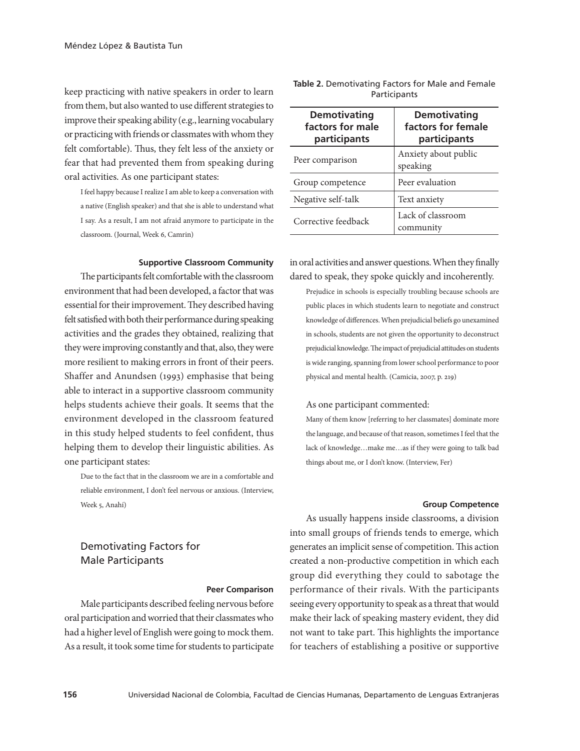keep practicing with native speakers in order to learn from them, but also wanted to use different strategies to improve their speaking ability (e.g., learning vocabulary or practicing with friends or classmates with whom they felt comfortable). Thus, they felt less of the anxiety or fear that had prevented them from speaking during oral activities. As one participant states:

I feel happy because I realize I am able to keep a conversation with a native (English speaker) and that she is able to understand what I say. As a result, I am not afraid anymore to participate in the classroom. (Journal, Week 6, Camrin)

**Supportive Classroom Community**

The participants felt comfortable with the classroom environment that had been developed, a factor that was essential for their improvement. They described having felt satisfied with both their performance during speaking activities and the grades they obtained, realizing that they were improving constantly and that, also, they were more resilient to making errors in front of their peers. Shaffer and Anundsen (1993) emphasise that being able to interact in a supportive classroom community helps students achieve their goals. It seems that the environment developed in the classroom featured in this study helped students to feel confident, thus helping them to develop their linguistic abilities. As one participant states:

Due to the fact that in the classroom we are in a comfortable and reliable environment, I don't feel nervous or anxious. (Interview, Week 5, Anahí)

## Demotivating Factors for Male Participants

#### **Peer Comparison**

Male participants described feeling nervous before oral participation and worried that their classmates who had a higher level of English were going to mock them. As a result, it took some time for students to participate

| <b>Demotivating</b><br>factors for male<br>participants | <b>Demotivating</b><br>factors for female<br>participants |
|---------------------------------------------------------|-----------------------------------------------------------|
| Peer comparison                                         | Anxiety about public<br>speaking                          |
| Group competence                                        | Peer evaluation                                           |
| Negative self-talk                                      | Text anxiety                                              |
| Corrective feedback                                     | Lack of classroom<br>community                            |

| <b>Table 2.</b> Demotivating Factors for Male and Female |              |  |  |  |
|----------------------------------------------------------|--------------|--|--|--|
|                                                          | Participants |  |  |  |

in oral activities and answer questions. When they finally dared to speak, they spoke quickly and incoherently.

Prejudice in schools is especially troubling because schools are public places in which students learn to negotiate and construct knowledge of differences. When prejudicial beliefs go unexamined in schools, students are not given the opportunity to deconstruct prejudicial knowledge. The impact of prejudicial attitudes on students is wide ranging, spanning from lower school performance to poor physical and mental health. (Camicia, 2007, p. 219)

#### As one participant commented:

Many of them know [referring to her classmates] dominate more the language, and because of that reason, sometimes I feel that the lack of knowledge…make me…as if they were going to talk bad things about me, or I don't know. (Interview, Fer)

#### **Group Competence**

As usually happens inside classrooms, a division into small groups of friends tends to emerge, which generates an implicit sense of competition. This action created a non-productive competition in which each group did everything they could to sabotage the performance of their rivals. With the participants seeing every opportunity to speak as a threat that would make their lack of speaking mastery evident, they did not want to take part. This highlights the importance for teachers of establishing a positive or supportive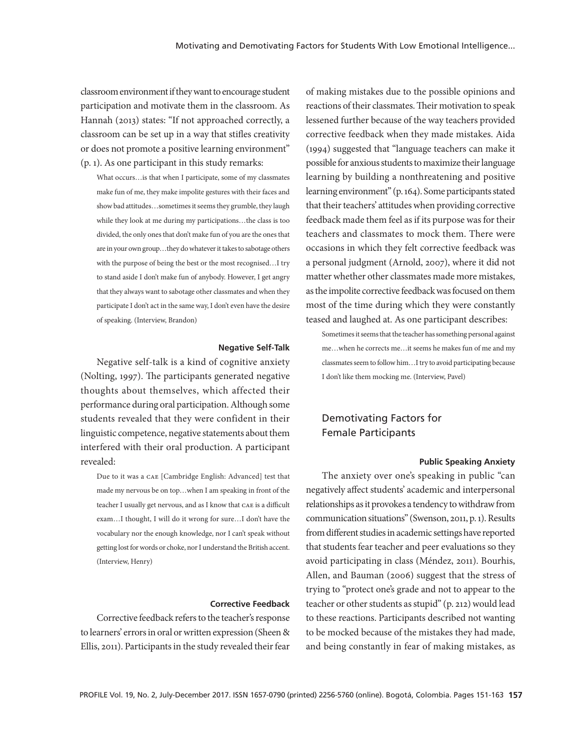classroom environment if they want to encourage student participation and motivate them in the classroom. As Hannah (2013) states: "If not approached correctly, a classroom can be set up in a way that stifles creativity or does not promote a positive learning environment" (p. 1). As one participant in this study remarks:

What occurs…is that when I participate, some of my classmates make fun of me, they make impolite gestures with their faces and show bad attitudes…sometimes it seems they grumble, they laugh while they look at me during my participations…the class is too divided, the only ones that don't make fun of you are the ones that are in your own group…they do whatever it takes to sabotage others with the purpose of being the best or the most recognised…I try to stand aside I don't make fun of anybody. However, I get angry that they always want to sabotage other classmates and when they participate I don't act in the same way, I don't even have the desire of speaking. (Interview, Brandon)

#### **Negative Self-Talk**

Negative self-talk is a kind of cognitive anxiety (Nolting, 1997). The participants generated negative thoughts about themselves, which affected their performance during oral participation. Although some students revealed that they were confident in their linguistic competence, negative statements about them interfered with their oral production. A participant revealed:

Due to it was a cae [Cambridge English: Advanced] test that made my nervous be on top…when I am speaking in front of the teacher I usually get nervous, and as I know that cae is a difficult exam…I thought, I will do it wrong for sure…I don't have the vocabulary nor the enough knowledge, nor I can't speak without getting lost for words or choke, nor I understand the British accent. (Interview, Henry)

#### **Corrective Feedback**

Corrective feedback refers to the teacher's response to learners' errors in oral or written expression (Sheen & Ellis, 2011). Participants in the study revealed their fear

of making mistakes due to the possible opinions and reactions of their classmates. Their motivation to speak lessened further because of the way teachers provided corrective feedback when they made mistakes. Aida (1994) suggested that "language teachers can make it possible for anxious students to maximize their language learning by building a nonthreatening and positive learning environment" (p. 164). Some participants stated that their teachers' attitudes when providing corrective feedback made them feel as if its purpose was for their teachers and classmates to mock them. There were occasions in which they felt corrective feedback was a personal judgment (Arnold, 2007), where it did not matter whether other classmates made more mistakes, as the impolite corrective feedback was focused on them most of the time during which they were constantly teased and laughed at. As one participant describes:

Sometimes it seems that the teacher has something personal against me…when he corrects me…it seems he makes fun of me and my classmates seem to follow him…I try to avoid participating because I don't like them mocking me. (Interview, Pavel)

## Demotivating Factors for Female Participants

#### **Public Speaking Anxiety**

The anxiety over one's speaking in public "can negatively affect students' academic and interpersonal relationships as it provokes a tendency to withdraw from communication situations" (Swenson, 2011, p. 1). Results from different studies in academic settings have reported that students fear teacher and peer evaluations so they avoid participating in class (Méndez, 2011). Bourhis, Allen, and Bauman (2006) suggest that the stress of trying to "protect one's grade and not to appear to the teacher or other students as stupid" (p. 212) would lead to these reactions. Participants described not wanting to be mocked because of the mistakes they had made, and being constantly in fear of making mistakes, as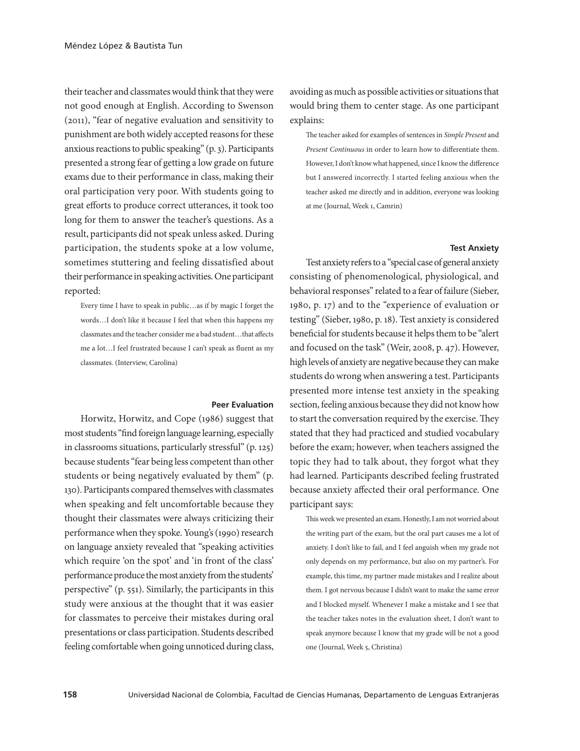their teacher and classmates would think that they were not good enough at English. According to Swenson (2011), "fear of negative evaluation and sensitivity to punishment are both widely accepted reasons for these anxious reactions to public speaking" (p. 3). Participants presented a strong fear of getting a low grade on future exams due to their performance in class, making their oral participation very poor. With students going to great efforts to produce correct utterances, it took too long for them to answer the teacher's questions. As a result, participants did not speak unless asked. During participation, the students spoke at a low volume, sometimes stuttering and feeling dissatisfied about their performance in speaking activities. One participant reported:

Every time I have to speak in public…as if by magic I forget the words…I don't like it because I feel that when this happens my classmates and the teacher consider me a bad student…that affects me a lot…I feel frustrated because I can't speak as fluent as my classmates. (Interview, Carolina)

#### **Peer Evaluation**

Horwitz, Horwitz, and Cope (1986) suggest that most students "find foreign language learning, especially in classrooms situations, particularly stressful" (p. 125) because students "fear being less competent than other students or being negatively evaluated by them" (p. 130). Participants compared themselves with classmates when speaking and felt uncomfortable because they thought their classmates were always criticizing their performance when they spoke. Young's (1990) research on language anxiety revealed that "speaking activities which require 'on the spot' and 'in front of the class' performance produce the most anxiety from the students' perspective" (p. 551). Similarly, the participants in this study were anxious at the thought that it was easier for classmates to perceive their mistakes during oral presentations or class participation. Students described feeling comfortable when going unnoticed during class,

avoiding as much as possible activities or situations that would bring them to center stage. As one participant explains:

The teacher asked for examples of sentences in *Simple Present* and *Present Continuous* in order to learn how to differentiate them. However, I don't know what happened, since I know the difference but I answered incorrectly. I started feeling anxious when the teacher asked me directly and in addition, everyone was looking at me (Journal, Week 1, Camrin)

#### **Test Anxiety**

Test anxiety refers to a "special case of general anxiety consisting of phenomenological, physiological, and behavioral responses" related to a fear of failure (Sieber, 1980, p. 17) and to the "experience of evaluation or testing" (Sieber, 1980, p. 18). Test anxiety is considered beneficial for students because it helps them to be "alert and focused on the task" (Weir, 2008, p. 47). However, high levels of anxiety are negative because they can make students do wrong when answering a test. Participants presented more intense test anxiety in the speaking section, feeling anxious because they did not know how to start the conversation required by the exercise. They stated that they had practiced and studied vocabulary before the exam; however, when teachers assigned the topic they had to talk about, they forgot what they had learned. Participants described feeling frustrated because anxiety affected their oral performance. One participant says:

This week we presented an exam. Honestly, I am not worried about the writing part of the exam, but the oral part causes me a lot of anxiety. I don't like to fail, and I feel anguish when my grade not only depends on my performance, but also on my partner's. For example, this time, my partner made mistakes and I realize about them. I got nervous because I didn't want to make the same error and I blocked myself. Whenever I make a mistake and I see that the teacher takes notes in the evaluation sheet, I don't want to speak anymore because I know that my grade will be not a good one (Journal, Week 5, Christina)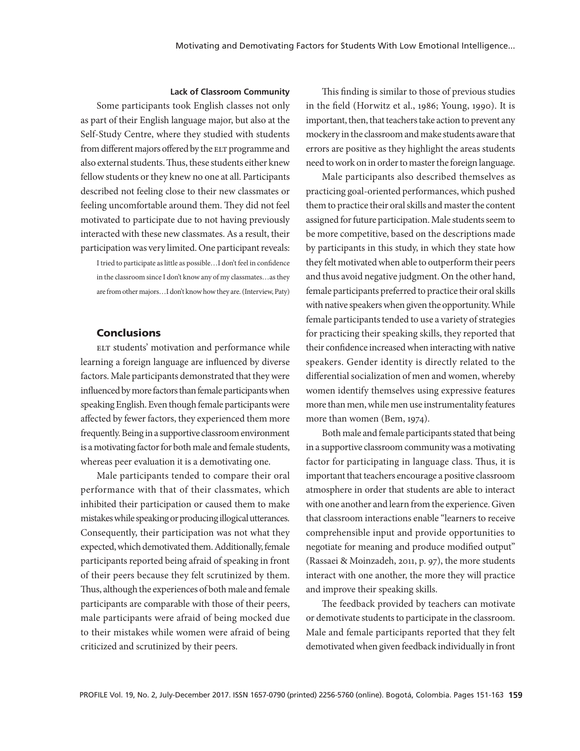#### **Lack of Classroom Community**

Some participants took English classes not only as part of their English language major, but also at the Self-Study Centre, where they studied with students from different majors offered by the ELT programme and also external students. Thus, these students either knew fellow students or they knew no one at all. Participants described not feeling close to their new classmates or feeling uncomfortable around them. They did not feel motivated to participate due to not having previously interacted with these new classmates. As a result, their participation was very limited. One participant reveals:

I tried to participate as little as possible…I don't feel in confidence in the classroom since I don't know any of my classmates…as they are from other majors…I don't know how they are. (Interview, Paty)

#### **Conclusions**

ELT students' motivation and performance while learning a foreign language are influenced by diverse factors. Male participants demonstrated that they were influenced by more factors than female participants when speaking English. Even though female participants were affected by fewer factors, they experienced them more frequently. Being in a supportive classroom environment is a motivating factor for both male and female students, whereas peer evaluation it is a demotivating one.

Male participants tended to compare their oral performance with that of their classmates, which inhibited their participation or caused them to make mistakes while speaking or producing illogical utterances. Consequently, their participation was not what they expected, which demotivated them. Additionally, female participants reported being afraid of speaking in front of their peers because they felt scrutinized by them. Thus, although the experiences of both male and female participants are comparable with those of their peers, male participants were afraid of being mocked due to their mistakes while women were afraid of being criticized and scrutinized by their peers.

This finding is similar to those of previous studies in the field (Horwitz et al., 1986; Young, 1990). It is important, then, that teachers take action to prevent any mockery in the classroom and make students aware that errors are positive as they highlight the areas students need to work on in order to master the foreign language.

Male participants also described themselves as practicing goal-oriented performances, which pushed them to practice their oral skills and master the content assigned for future participation. Male students seem to be more competitive, based on the descriptions made by participants in this study, in which they state how they felt motivated when able to outperform their peers and thus avoid negative judgment. On the other hand, female participants preferred to practice their oral skills with native speakers when given the opportunity. While female participants tended to use a variety of strategies for practicing their speaking skills, they reported that their confidence increased when interacting with native speakers. Gender identity is directly related to the differential socialization of men and women, whereby women identify themselves using expressive features more than men, while men use instrumentality features more than women (Bem, 1974).

Both male and female participants stated that being in a supportive classroom community was a motivating factor for participating in language class. Thus, it is important that teachers encourage a positive classroom atmosphere in order that students are able to interact with one another and learn from the experience. Given that classroom interactions enable "learners to receive comprehensible input and provide opportunities to negotiate for meaning and produce modified output" (Rassaei & Moinzadeh, 2011, p. 97), the more students interact with one another, the more they will practice and improve their speaking skills.

The feedback provided by teachers can motivate or demotivate students to participate in the classroom. Male and female participants reported that they felt demotivated when given feedback individually in front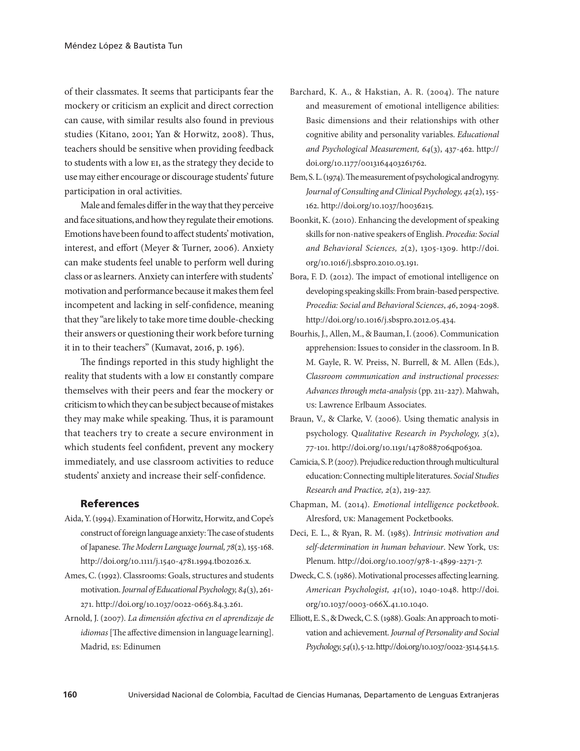of their classmates. It seems that participants fear the mockery or criticism an explicit and direct correction can cause, with similar results also found in previous studies (Kitano, 2001; Yan & Horwitz, 2008). Thus, teachers should be sensitive when providing feedback to students with a low EI, as the strategy they decide to use may either encourage or discourage students' future participation in oral activities.

Male and females differ in the way that they perceive and face situations, and how they regulate their emotions. Emotions have been found to affect students' motivation, interest, and effort (Meyer & Turner, 2006). Anxiety can make students feel unable to perform well during class or as learners. Anxiety can interfere with students' motivation and performance because it makes them feel incompetent and lacking in self-confidence, meaning that they "are likely to take more time double-checking their answers or questioning their work before turning it in to their teachers" (Kumavat, 2016, p. 196).

The findings reported in this study highlight the reality that students with a low ei constantly compare themselves with their peers and fear the mockery or criticism to which they can be subject because of mistakes they may make while speaking. Thus, it is paramount that teachers try to create a secure environment in which students feel confident, prevent any mockery immediately, and use classroom activities to reduce students' anxiety and increase their self-confidence.

#### References

- Aida, Y. (1994). Examination of Horwitz, Horwitz, and Cope's construct of foreign language anxiety: The case of students of Japanese. *The Modern Language Journal, 78*(2)*,* 155-168. http://doi.org/10.1111/j.1540-4781.1994.tb02026.x.
- Ames, C. (1992). Classrooms: Goals, structures and students motivation. *Journal of Educational Psychology, 84*(3), 261- 271. http://doi.org/10.1037/0022-0663.84.3.261.
- Arnold, J. (2007). *La dimensión afectiva en el aprendizaje de idiomas* [The affective dimension in language learning]. Madrid, es: Edinumen
- Barchard, K. A., & Hakstian, A. R. (2004). The nature and measurement of emotional intelligence abilities: Basic dimensions and their relationships with other cognitive ability and personality variables. *Educational and Psychological Measurement, 64*(3), 437-462. http:// doi.org/10.1177/0013164403261762.
- Bem, S. L. (1974). The measurement of psychological androgyny. *Journal of Consulting and Clinical Psychology, 42*(2),155- 162. http://doi.org/10.1037/h0036215*.*
- Boonkit, K. (2010). Enhancing the development of speaking skills for non-native speakers of English. *Procedia: Social and Behavioral Sciences, 2*(2), 1305-1309. http://doi. org/10.1016/j.sbspro.2010.03.191.
- Bora, F. D. (2012). The impact of emotional intelligence on developing speaking skills: From brain-based perspective. *Procedia: Social and Behavioral Sciences*, *46*, 2094-2098. http://doi.org/10.1016/j.sbspro.2012.05.434.
- Bourhis, J., Allen, M., & Bauman, I. (2006). Communication apprehension: Issues to consider in the classroom. In B. M. Gayle, R. W. Preiss, N. Burrell, & M. Allen (Eds.), *Classroom communication and instructional processes: Advances through meta-analysis* (pp. 211-227). Mahwah, us: Lawrence Erlbaum Associates.
- Braun, V., & Clarke, V. (2006). Using thematic analysis in psychology. Q*ualitative Research in Psychology, 3*(2), 77-101. http://doi.org/10.1191/1478088706qp063oa.
- Camicia, S. P. (2007). Prejudice reduction through multicultural education: Connecting multiple literatures. *Social Studies Research and Practice, 2*(2), 219-227.
- Chapman, M. (2014). *Emotional intelligence pocketbook*. Alresford, uk: Management Pocketbooks.
- Deci, E. L., & Ryan, R. M. (1985). *Intrinsic motivation and self-determination in human behaviour*. New York, us: Plenum. http://doi.org/10.1007/978-1-4899-2271-7.
- Dweck, C. S. (1986). Motivational processes affecting learning. *American Psychologist, 41*(10), 1040-1048. http://doi. org/10.1037/0003-066X.41.10.1040.
- Elliott, E. S., & Dweck, C. S. (1988). Goals: An approach to motivation and achievement. *Journal of Personality and Social Psychology, 54*(1), 5-12. http://doi.org/10.1037/0022-3514.54.1.5.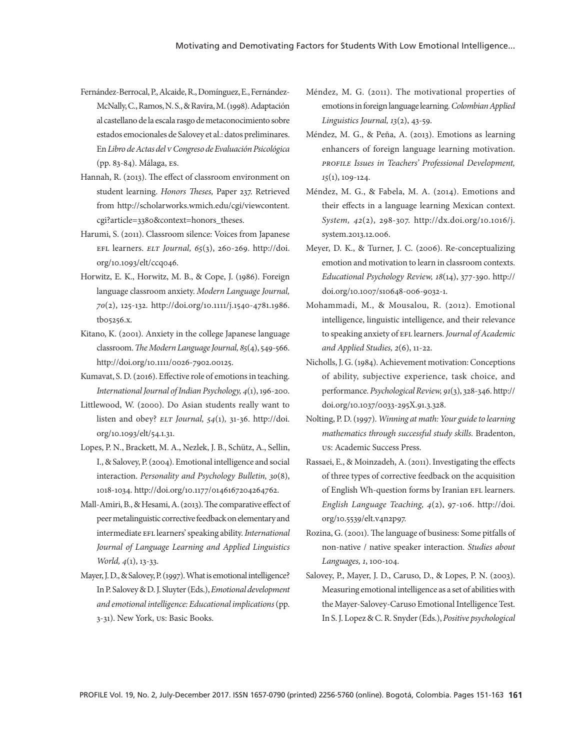- Fernández-Berrocal, P., Alcaide, R., Domínguez, E., Fernández-McNally, C., Ramos, N. S., & Ravira, M. (1998). Adaptación al castellano de la escala rasgo de metaconocimiento sobre estados emocionales de Salovey et al.: datos preliminares. En *Libro de Actas del v Congreso de Evaluación Psicológica* (pp. 83-84). Málaga, es.
- Hannah, R. (2013). The effect of classroom environment on student learning. *Honors Theses,* Paper 237. Retrieved from http://scholarworks.wmich.edu/cgi/viewcontent. cgi?article=3380&context=honors\_theses.
- Harumi, S. (2011). Classroom silence: Voices from Japanese efl learners. *elt Journal, 65*(3), 260-269. http://doi. org/10.1093/elt/ccq046.
- Horwitz, E. K., Horwitz, M. B., & Cope, J. (1986). Foreign language classroom anxiety. *Modern Language Journal, 70*(2), 125-132. http://doi.org/10.1111/j.1540-4781.1986. tb05256.x.
- Kitano, K. (2001). Anxiety in the college Japanese language classroom. *The Modern Language Journal, 85*(4), 549-566. http://doi.org/10.1111/0026-7902.00125.
- Kumavat, S. D. (2016). Effective role of emotions in teaching. *International Journal of Indian Psychology, 4*(1), 196-200.
- Littlewood, W. (2000). Do Asian students really want to listen and obey? *elt Journal, 54*(1)*,* 31-36. http://doi. org/10.1093/elt/54.1.31.
- Lopes, P. N., Brackett, M. A., Nezlek, J. B., Schütz, A., Sellin, I., & Salovey, P. (2004). Emotional intelligence and social interaction. *Personality and Psychology Bulletin, 30*(8), 1018-1034. http://doi.org/10.1177/0146167204264762.
- Mall-Amiri, B., & Hesami, A. (2013). The comparative effect of peer metalinguistic corrective feedback on elementary and intermediate efl learners' speaking ability. *International Journal of Language Learning and Applied Linguistics World, 4*(1), 13-33.
- Mayer, J. D., & Salovey, P. (1997). What is emotional intelligence? In P. Salovey & D. J. Sluyter (Eds.), *Emotional development and emotional intelligence: Educational implications* (pp. 3-31). New York, us: Basic Books.
- Méndez, M. G. (2011). The motivational properties of emotions in foreign language learning*. Colombian Applied Linguistics Journal, 13*(2), 43-59.
- Méndez, M. G., & Peña, A. (2013). Emotions as learning enhancers of foreign language learning motivation. *profile Issues in Teachers' Professional Development, 15*(1), 109-124.
- Méndez, M. G., & Fabela, M. A. (2014). Emotions and their effects in a language learning Mexican context. *System, 42*(2), 298-307. http://dx.doi.org/10.1016/j. system.2013.12.006.
- Meyer, D. K., & Turner, J. C. (2006). Re-conceptualizing emotion and motivation to learn in classroom contexts. *Educational Psychology Review, 18*(14), 377-390. http:// doi.org/10.1007/s10648-006-9032-1.
- Mohammadi, M., & Mousalou, R. (2012). Emotional intelligence, linguistic intelligence, and their relevance to speaking anxiety of EFL learners. *Journal of Academic and Applied Studies, 2*(6), 11-22.
- Nicholls, J. G. (1984). Achievement motivation: Conceptions of ability, subjective experience, task choice, and performance. *Psychological Review, 91*(3), 328-346. http:// doi.org/10.1037/0033-295X.91.3.328.
- Nolting, P. D. (1997). *Winning at math: Your guide to learning mathematics through successful study skills.* Bradenton, us: Academic Success Press.
- Rassaei, E., & Moinzadeh, A. (2011). Investigating the effects of three types of corrective feedback on the acquisition of English Wh-question forms by Iranian EFL learners. *English Language Teaching, 4*(2), 97-106. http://doi. org/10.5539/elt.v4n2p97.
- Rozina, G. (2001). The language of business: Some pitfalls of non-native / native speaker interaction. *Studies about Languages, 1*, 100-104.
- Salovey, P., Mayer, J. D., Caruso, D., & Lopes, P. N. (2003). Measuring emotional intelligence as a set of abilities with the Mayer-Salovey-Caruso Emotional Intelligence Test. In S. J. Lopez & C. R. Snyder (Eds.), *Positive psychological*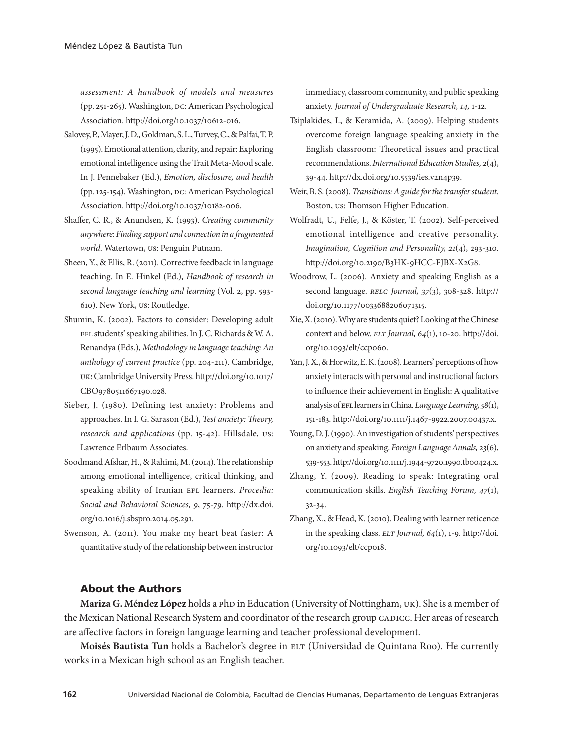*assessment: A handbook of models and measures* (pp. 251-265). Washington, DC: American Psychological Association. http://doi.org/10.1037/10612-016.

- Salovey, P., Mayer, J. D., Goldman, S. L., Turvey, C., & Palfai, T. P. (1995). Emotional attention, clarity, and repair: Exploring emotional intelligence using the Trait Meta-Mood scale. In J. Pennebaker (Ed.), *Emotion, disclosure, and health* (pp. 125-154). Washington, DC: American Psychological Association. http://doi.org/10.1037/10182-006.
- Shaffer, C. R., & Anundsen, K. (1993). *Creating community anywhere: Finding support and connection in a fragmented world*. Watertown, us: Penguin Putnam.
- Sheen, Y., & Ellis, R. (2011). Corrective feedback in language teaching. In E. Hinkel (Ed.), *Handbook of research in second language teaching and learning* (Vol. 2, pp. 593- 610). New York, us: Routledge.
- Shumin, K. (2002). Factors to consider: Developing adult efl students' speaking abilities. In J. C. Richards & W. A. Renandya (Eds.), *Methodology in language teaching: An anthology of current practice* (pp. 204-211). Cambridge, uk: Cambridge University Press. http://doi.org/10.1017/ CBO9780511667190.028.
- Sieber, J. (1980). Defining test anxiety: Problems and approaches. In I. G. Sarason (Ed.), *Test anxiety: Theory, research and applications* (pp. 15-42). Hillsdale, us: Lawrence Erlbaum Associates.
- Soodmand Afshar, H., & Rahimi, M. (2014). The relationship among emotional intelligence, critical thinking, and speaking ability of Iranian EFL learners. *Procedia: Social and Behavioral Sciences, 9*, 75-79. http://dx.doi. org/10.1016/j.sbspro.2014.05.291.
- Swenson, A. (2011). You make my heart beat faster: A quantitative study of the relationship between instructor

immediacy, classroom community, and public speaking anxiety. *Journal of Undergraduate Research, 14,* 1-12.

- Tsiplakides, I., & Keramida, A. (2009). Helping students overcome foreign language speaking anxiety in the English classroom: Theoretical issues and practical recommendations. *International Education Studies, 2*(4), 39-44. http://dx.doi.org/10.5539/ies.v2n4p39.
- Weir, B. S. (2008). *Transitions: A guide for the transfer student*. Boston, us: Thomson Higher Education.
- Wolfradt, U., Felfe, J., & Köster, T. (2002). Self-perceived emotional intelligence and creative personality. *Imagination, Cognition and Personality, 21*(4), 293-310. http://doi.org/10.2190/B3HK-9HCC-FJBX-X2G8.
- Woodrow, L. (2006). Anxiety and speaking English as a second language. *relc Journal, 37*(3), 308-328. http:// doi.org/10.1177/0033688206071315.
- Xie, X. (2010). Why are students quiet? Looking at the Chinese context and below. *elt Journal, 64*(1), 10-20. http://doi. org/10.1093/elt/ccp060.
- Yan, J. X., & Horwitz, E. K. (2008). Learners' perceptions of how anxiety interacts with personal and instructional factors to influence their achievement in English: A qualitative analysis of EFL learners in China. *Language Learning*, 58(1), 151-183. http://doi.org/10.1111/j.1467-9922.2007.00437.x.
- Young, D. J. (1990). An investigation of students' perspectives on anxiety and speaking. *Foreign Language Annals, 23*(6), 539-553. http://doi.org/10.1111/j.1944-9720.1990.tb00424.x.
- Zhang, Y. (2009). Reading to speak: Integrating oral communication skills. *English Teaching Forum, 47*(1), 32-34.
- Zhang, X., & Head, K. (2010). Dealing with learner reticence in the speaking class. *elt Journal, 64*(1), 1-9. http://doi. org/10.1093/elt/ccp018.

### About the Authors

**Mariza G. Méndez López** holds a php in Education (University of Nottingham, UK). She is a member of the Mexican National Research System and coordinator of the research group CADICC. Her areas of research are affective factors in foreign language learning and teacher professional development.

Moisés Bautista Tun holds a Bachelor's degree in ELT (Universidad de Quintana Roo). He currently works in a Mexican high school as an English teacher.